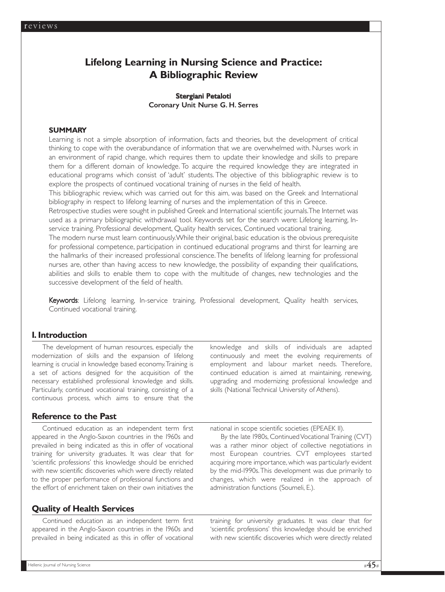# **Lifelong Learning in Nursing Science and Practice: A Bibliographic Review**

# Stergiani Petaloti Coronary Unit Nurse G. H. Serres

#### **SUMMARY**

Learning is not a simple absorption of information, facts and theories, but the development of critical thinking to cope with the overabundance of information that we are overwhelmed with. Nurses work in an environment of rapid change, which requires them to update their knowledge and skills to prepare them for a different domain of knowledge. To acquire the required knowledge they are integrated in educational programs which consist of 'adult' students. The objective of this bibliographic review is to explore the prospects of continued vocational training of nurses in the field of health.

This bibliographic review, which was carried out for this aim, was based on the Greek and International bibliography in respect to lifelong learning of nurses and the implementation of this in Greece.

Retrospective studies were sought in published Greek and International scientific journals.The Internet was used as a primary bibliographic withdrawal tool. Keywords set for the search were: Lifelong learning, Inservice training. Professional development, Quality health services, Continued vocational training.

The modern nurse must learn continuously.While their original, basic education is the obvious prerequisite for professional competence, participation in continued educational programs and thirst for learning are the hallmarks of their increased professional conscience.The benefits of lifelong learning for professional nurses are, other than having access to new knowledge, the possibility of expanding their qualifications, abilities and skills to enable them to cope with the multitude of changes, new technologies and the successive development of the field of health.

Keywords: Lifelong learning, In-service training, Professional development, Quality health services, Continued vocational training.

# **1. Introduction**

The development of human resources, especially the modernization of skills and the expansion of lifelong learning is crucial in knowledge based economy.Training is a set of actions designed for the acquisition of the necessary established professional knowledge and skills. Particularly, continued vocational training, consisting of a continuous process, which aims to ensure that the

**Reference to the Past**

Continued education as an independent term first appeared in the Anglo-Saxon countries in the 1960s and prevailed in being indicated as this in offer of vocational training for university graduates. It was clear that for 'scientific professions' this knowledge should be enriched with new scientific discoveries which were directly related to the proper performance of professional functions and the effort of enrichment taken on their own initiatives the

# **Quality of Health Services**

Continued education as an independent term first appeared in the Anglo-Saxon countries in the 1960s and prevailed in being indicated as this in offer of vocational

knowledge and skills of individuals are adapted continuously and meet the evolving requirements of employment and labour market needs. Therefore, continued education is aimed at maintaining, renewing, upgrading and modernizing professional knowledge and skills (National Technical University of Athens).

national in scope scientific societies (EPEAEK II).

By the late 1980s, Continued Vocational Training (CVT) was a rather minor object of collective negotiations in most European countries. CVT employees started acquiring more importance, which was particularly evident by the mid-1990s.This development was due primarily to changes, which were realized in the approach of administration functions (Soumeli, E.).

training for university graduates. It was clear that for 'scientific professions' this knowledge should be enriched with new scientific discoveries which were directly related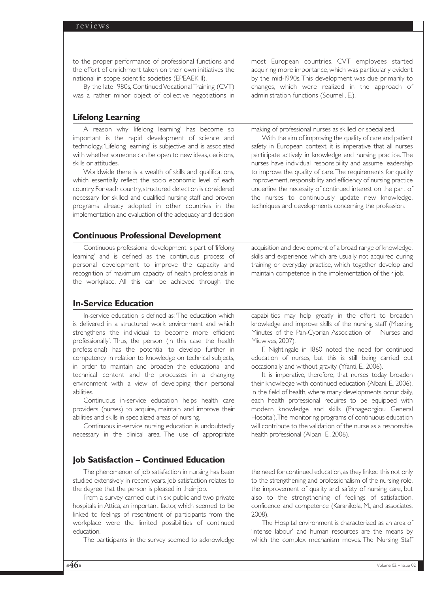to the proper performance of professional functions and the effort of enrichment taken on their own initiatives the national in scope scientific societies (EPEAEK II).

By the late 1980s, Continued Vocational Training (CVT) was a rather minor object of collective negotiations in

# **Lifelong Learning**

A reason why 'lifelong learning' has become so important is the rapid development of science and technology. 'Lifelong learning' is subjective and is associated with whether someone can be open to new ideas, decisions, skills or attitudes.

Worldwide there is a wealth of skills and qualifications, which essentially, reflect the socio economic level of each country. For each country, structured detection is considered necessary for skilled and qualified nursing staff and proven programs already adopted in other countries in the implementation and evaluation of the adequacy and decision

# **Continuous Professional Development**

Continuous professional development is part of 'lifelong learning' and is defined as the continuous process of personal development to improve the capacity and recognition of maximum capacity of health professionals in the workplace. All this can be achieved through the

# **In-Service Education**

In-service education is defined as:'The education which is delivered in a structured work environment and which strengthens the individual to become more efficient professionally'. Thus, the person (in this case the health professional) has the potential to develop further in competency in relation to knowledge on technical subjects, in order to maintain and broaden the educational and technical content and the processes in a changing environment with a view of developing their personal abilities.

Continuous in-service education helps health care providers (nurses) to acquire, maintain and improve their abilities and skills in specialized areas of nursing.

Continuous in-service nursing education is undoubtedly necessary in the clinical area. The use of appropriate

# **Job Satisfaction – Continued Education**

The phenomenon of job satisfaction in nursing has been studied extensively in recent years. Job satisfaction relates to the degree that the person is pleased in their job.

From a survey carried out in six public and two private hospitals in Attica, an important factor, which seemed to be linked to feelings of resentment of participants from the workplace were the limited possibilities of continued education.

The participants in the survey seemed to acknowledge

most European countries. CVT employees started acquiring more importance, which was particularly evident by the mid-1990s.This development was due primarily to changes, which were realized in the approach of administration functions (Soumeli, E.).

making of professional nurses as skilled or specialized.

With the aim of improving the quality of care and patient safety in European context, it is imperative that all nurses participate actively in knowledge and nursing practice. The nurses have individual responsibility and assume leadership to improve the quality of care.The requirements for quality improvement, responsibility and efficiency of nursing practice underline the necessity of continued interest on the part of the nurses to continuously update new knowledge, techniques and developments concerning the profession.

acquisition and development of a broad range of knowledge, skills and experience, which are usually not acquired during training or everyday practice, which together develop and maintain competence in the implementation of their job.

capabilities may help greatly in the effort to broaden knowledge and improve skills of the nursing staff (Meeting Minutes of the Pan-Cyprian Association of Nurses and Midwives, 2007).

F. Nightingale in 1860 noted the need for continued education of nurses, but this is still being carried out occasionally and without gravity (Yfanti, E., 2006).

It is imperative, therefore, that nurses today broaden their knowledge with continued education (Albani, E., 2006). In the field of health, where many developments occur daily, each health professional requires to be equipped with modern knowledge and skills (Papageorgiou General Hospital).The monitoring programs of continuous education will contribute to the validation of the nurse as a responsible health professional (Albani, E., 2006).

the need for continued education,as they linked this not only to the strengthening and professionalism of the nursing role, the improvement of quality and safety of nursing care, but also to the strengthening of feelings of satisfaction, confidence and competence (Karanikola, M., and associates, 2008).

The Hospital environment is characterized as an area of 'intense labour' and human resources are the means by which the complex mechanism moves. The Nursing Staff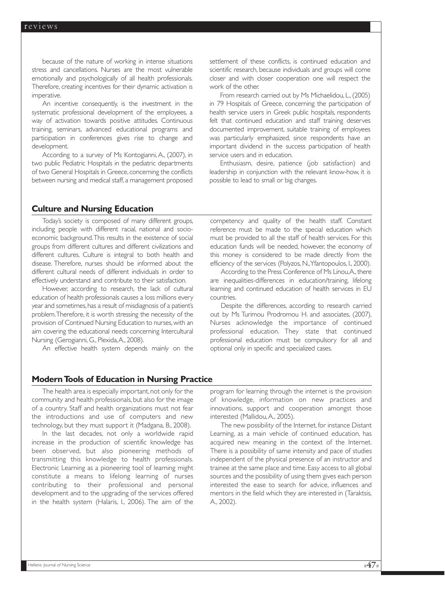because of the nature of working in intense situations stress and cancellations. Nurses are the most vulnerable emotionally and psychologically of all health professionals. Therefore, creating incentives for their dynamic activation is imperative.

An incentive consequently, is the investment in the systematic professional development of the employees, a way of activation towards positive attitudes. Continuous training, seminars, advanced educational programs and participation in conferences gives rise to change and development.

According to a survey of Ms Kontogianni, A., (2007), in two public Pediatric Hospitals in the pediatric departments of two General Hospitals in Greece, concerning the conflicts between nursing and medical staff, a management proposed settlement of these conflicts, is continued education and scientific research, because individuals and groups will come closer and with closer cooperation one will respect the work of the other.

From research carried out by Ms Michaelidou, L., (2005) in 79 Hospitals of Greece, concerning the participation of health service users in Greek public hospitals, respondents felt that continued education and staff training deserves documented improvement, suitable training of employees was particularly emphasized, since respondents have an important dividend in the success participation of health service users and in education.

Enthusiasm, desire, patience (job satisfaction) and leadership in conjunction with the relevant know-how, it is possible to lead to small or big changes.

#### **Culture and Nursing Education**

Today's society is composed of many different groups, including people with different racial, national and socioeconomic background.This results in the existence of social groups from different cultures and different civilizations and different cultures. Culture is integral to both health and disease. Therefore, nurses should be informed about the different cultural needs of different individuals in order to effectively understand and contribute to their satisfaction.

However, according to research, the lack of cultural education of health professionals causes a loss millions every year and sometimes, has a result of misdiagnosis of a patient's problem.Therefore, it is worth stressing the necessity of the provision of Continued Nursing Education to nurses, with an aim covering the educational needs concerning Intercultural Nursing (Gerogianni, G., Plexida,A., 2008).

An effective health system depends mainly on the

competency and quality of the health staff. Constant reference must be made to the special education which must be provided to all the staff of health services. For this education funds will be needed, however, the economy of this money is considered to be made directly from the efficiency of the services (Polyzos, N.,Yfantopoulos, I., 2000).

According to the Press Conference of Ms Linou, A., there are inequalities-differences in education/training, lifelong learning and continued education of health services in EU countries.

Despite the differences, according to research carried out by Ms Turimou Prodromou H. and associates, (2007), Nurses acknowledge the importance of continued professional education. They state that continued professional education must be compulsory for all and optional only in specific and specialized cases.

# **Modern Tools of Education in Nursing Practice**

The health area is especially important, not only for the community and health professionals, but also for the image of a country. Staff and health organizations must not fear the introductions and use of computers and new technology, but they must support it (Madgana, B., 2008).

In the last decades, not only a worldwide rapid increase in the production of scientific knowledge has been observed, but also pioneering methods of transmitting this knowledge to health professionals. Electronic Learning as a pioneering tool of learning might constitute a means to lifelong learning of nurses contributing to their professional and personal development and to the upgrading of the services offered in the health system (Halaris, I., 2006). The aim of the program for learning through the internet is the provision of knowledge, information on new practices and innovations, support and cooperation amongst those interested (Mallidou,A., 2005).

The new possibility of the Internet, for instance Distant Learning, as a main vehicle of continued education, has acquired new meaning in the context of the Internet. There is a possibility of same intensity and pace of studies independent of the physical presence of an instructor and trainee at the same place and time. Easy access to all global sources and the possibility of using them gives each person interested the ease to search for advice, influences and mentors in the field which they are interested in (Taraktsis, A., 2002).